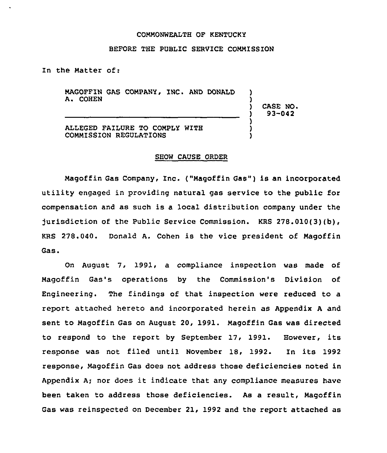#### COMMONWEALTH OF KENTUCKY

#### BEFORE THE PUBLIC SERVICE COMMISSION

In the Matter of:

MAGOFFIN GAS COMPANY, INC. AND DONALD A. COHEN

) CASE NO. ) 93-042

) )

) ) )

ALLEGED FAILURE TO COMPLY WITH COMMISSION REGULATIONS

#### SHOW CAUSE ORDER

Magoffin Gas Company, Inc. ("Magoffin Gas") is an incorporated utility engaged in providing natural gas service to the public for compensation and as such is a local distribution company under the jurisdiction of the Public Service Commission. KRS 278.010(3)(b), KRS 278.040. Donald A. Cohen is the vice president of Magoffin Gas.

On August 7, 1991, a compliance inspection was made of Magoffin Gas's operations by the Commission's Division of Engineering. The findings of that inspection were reduced to a report attached hereto and incorporated herein as Appendix <sup>A</sup> and sent to Magoffin Gas on August 20, 1991. Magoffin Gas was directed to respond to the report by September 17, 1991. However, its response was not filed until November 18, 1992. In its 1992 response, Magoffin Gas does not address those deficiencies noted in Appendix A; nor does it indicate that any compliance measures have been taken to address those deficiencies. As a result, Magoffin Gas was reinspected on December 21, 1992 and the report attached as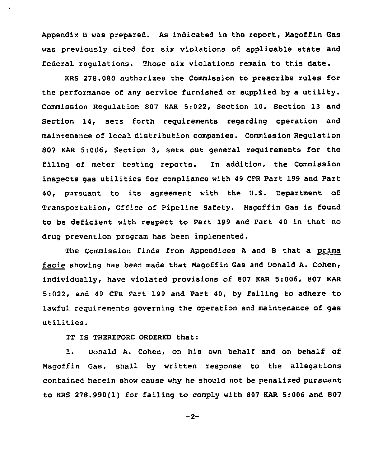Appendix B was prepared. As indicated in the report, Magoffin Gas was previously cited for six violations of applicable state and federal regulations. Those six violations remain to this date.

KRS 278.080 authorizes the Commission to prescribe rules for the performance of any service furnished or supplied by a utility. Commission Regulation 807 KAR 5:Q22, Section 10, Section 13 and Section 14, sets forth requirements regarding operation and maintenance of local distribution companies. Commission Regulation 807 KAR 5:006, Section 3, sets out general requirements for the filing of meter testing reports. In addition, the Commission inspects gas utilities for compliance with <sup>49</sup> CFR Part 199 and Part 40, pursuant to its agreement with the U.S. Department of Transportation, Office of Pipeline Safety. Magoffin Gas is found to be deficient with respect to Part 199 and Part 40 in that no drug prevention program has been implemented.

The Commission finds from Appendices <sup>A</sup> and 8 that a prima facie showing has been made that Magoffin Gas and Donald A. Cohen, individually, have violated provisions of 807 KAR 5:006, 807 KAR 5:022, and 49 CFR Part 199 and Part 40, by failing to adhere to lawful requirements governing the operation and maintenance of gas utilities.

IT IS THEREFORE ORDERED that:

1. Donald A. Cohen, on his own behalf and on behalf of Magoffin Gas, shall by written response to the allegations contained herein show cause why he should not be penalized pursuant to KRS 278.990(1) for failing to comply with 807 KAR 5:006 and 807

 $-2-$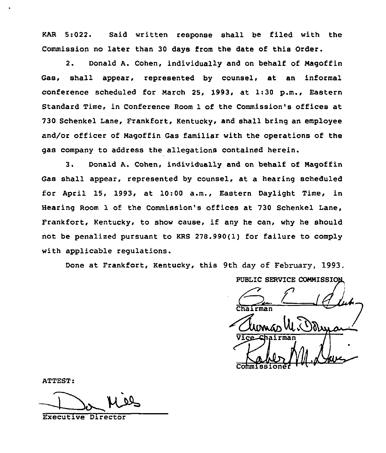KAR 5:022. Said written response shall be filed with the Commission no later than 30 days from the date of this Order.

2. Donald A. Cohen, individually and on behalf of Nagoffin Gas, shall appear, represented by counsel, at an informal conference scheduled for Narch 25, 1993, at 1:30 p.m., Eastern Standard Time, in Conference Room 1 of the Commission's offices at 730 Schenkel Lane, Frankfort, Kentucky, and shall bring an employee and/or officer of Nagoffin Gas familiar with the operations of the gas company to address the allegations contained herein.

3. Donald A. Cohen, individually and on behalf of Magoffin Gas shall appear, represented by counsel, at a hearing scheduled for April 15, 1993, at 10:00 a.m., Eastern Daylight Time, in Hearing Room 1 of the Commission's offices at 730 Schenkel Lane, Frankfort, Kentucky, to show cause, if any he can, why he should not be penalized pursuant to KRS 278.990(1) for failure to comply with applicable regulations.

Done at Frankfort, Kentucky, this 9th day of February, 1993,

PUBLIC SERVICE COMMISSION Clumas UL Commissione

ATTEST:

Executive Director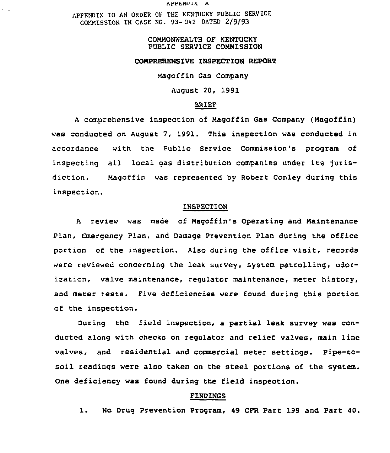arrssuxA

APPENDIX TO AN ORDER OF THE KENTUCKY PUBLIC SERVICE COMMISSION IN CASE NO. 93- 042 DATED 2/9/93

 $\sim$   $\sim$ 

## COMMONWEALTH QF KENTUCKY PUBLIC SERVICE COMMISSION

#### COMPREHENSIVE INSPECTION REPORT

Magoffin Gas Company

August 20, 1991

#### BRIEF

<sup>A</sup> comprehensive inspection of Magoffin Gas Company (Magoffin) was conducted on August 7, 1991. This inspection was conducted in accordance with the Public Service Commission's program of inspecting all local gas distribution companies under its jurisdiction. Magoffin was represented by Robert Conley during this inspection.

#### INSPECTION

<sup>A</sup> review was made of Magoffin's Operating and Maintenance Plan, Emergency Plan, and Damage Prevention Plan during the office portion of the inspection. Also during the office visit, records were reviewed concerning the leak survey, system patrolling, odorization, valve maintenance, regulator maintenance, meter history, and meter tests. Five deficiencies were found during this portion of the inspection.

During the field inspection, a partial leak survey was conducted along with checks on regulator and relief valves, main line valves, and residential and commercial meter settings. Pipe-tosoil readings were also taken on the steel portions of the system. One deficiency was found during the field inspection.

#### FINDINGS

1. No Drug Prevention Program, <sup>49</sup> CFR Part <sup>199</sup> and Part 40.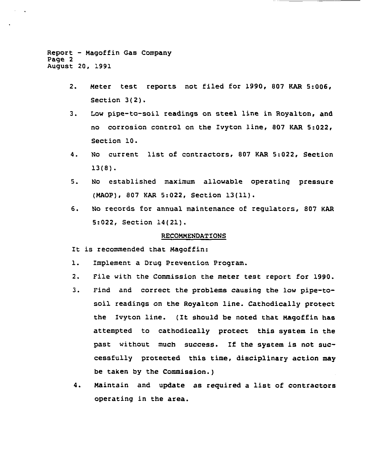Report — Nagoffin Gas Company Page 2 August 20, 1991

- 2. Neter test rePorts not filed for 1990, 807 KAR 5:006, Section 3(2).
- 3. Low pipe-to-soil readings on steel line in Royalton, and no corrosion control on the Ivyton line, 807 KAR 5:022, Section 10.
- 4. No current list of contractors, <sup>807</sup> KAR 5:022, Section 13(8).
- 5. No established maximum allowable operatinq pressure (NAOP), 807 KAR 5:022, Section 13(11).
- 6. No records for annual maintenance of regulators, 807 KAR 5:022, Section 14(21).

## RECONNENDATIONS

- It is recommended that Maqoffin:
- 1. Implement a Drug Prevention Program.
- 2. File with the Commission the meter test report for 1990.
- 3. Find and correct the problems causing the low pipe-tosoil readinqs on the Royalton line. Cathodically protect the Ivyton line. (It should be noted that Magoffin has attempted to cathodically protect this system in the past without much success. If the system is not successfully protected this time, disciplinary action may be taken by the Commission.)
- 4. Naintain and update as required <sup>a</sup> list of contractors operating in the area.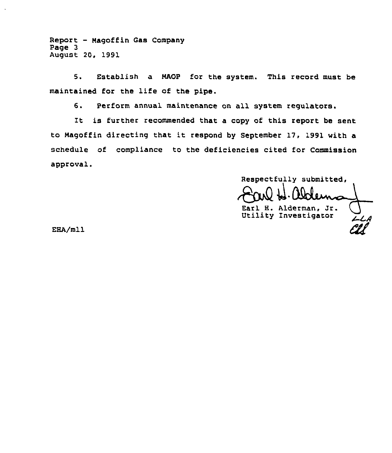Report - Magoffin Gas Company Page 3 August 20, 1991

5. Establish a MAOP for the system. This record must be maintained for the life of the pipe.

6. Perform annual maintenance on all system regulators.

It is further recommended that <sup>a</sup> copy of this report be sent to Nagoffin directing that it respond by September 17, 1991 with a schedule of compliance to the deficiencies cited for Commission approval.

Respectfully submitted, Earl H. Alderman, Jr. Utility Investigator LL

ERA/mll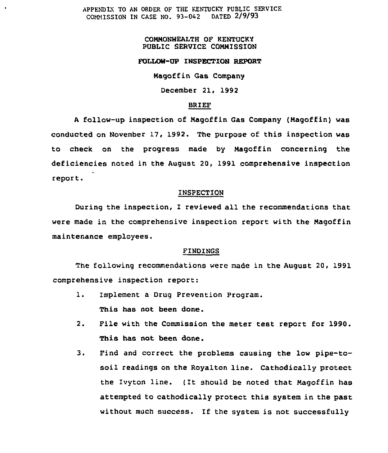APPENDIX TO AN ORDER OF THE KENTUCKY PUBLIC SERVICE<br>COMMISSION IN CASE NO. 93-042 DATED 2/9/93 COMMISSION IN CASE NO. 93-042

# COMMONWEALTH OF KENTUCKY PUBLIC SERUICE COMMISSION

## FOLLOW-UP INSPECTION REPORT

Magoffin Gas Company

## December 21, 1992

## BRIEF

<sup>A</sup> follow-up inspection of Magoffin Gas Company (Magoffin) was conducted on November 17, 1992. The purpose of this inspection was to check on the progress made by Magoffin concerning the deficiencies noted in the August 20, 1991 comprehensive inspection report.

## INSPECTION

During the inspection, I reviewed all the recommendations that were made in the comprehensive inspection report with the Magoffin maintenance employees.

#### FINDINGS

The following recommendations were made in the August 20, 1991 comprehensive inspection report:

- l. Implement <sup>a</sup> Drug Prevention Program. This has not been done.
- 2. File with the Commission the meter test report for 1990. This has not been done.
- 3. Find and correct the problems causing the low pipe-tosoil readings on the Royalton line. Cathodically protect the Ivyton line. (It should be noted that Magoffin has attempted to cathodically protect this system in the past without much success. If the system is not successfully